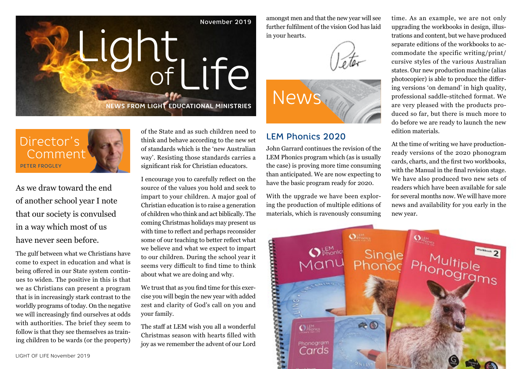

amongst men and that the new year will see further fulfilment of the vision God has laid in your hearts.



## LEM Phonics 2020

John Garrard continues the revision of the LEM Phonics program which (as is usually the case) is proving more time consuming than anticipated. We are now expecting to have the basic program ready for 2020.

With the upgrade we have been exploring the production of multiple editions of materials, which is ravenously consuming

time. As an example, we are not only upgrading the workbooks in design, illustrations and content, but we have produced separate editions of the workbooks to accommodate the specific writing/print/ cursive styles of the various Australian states. Our new production machine (alias photocopier) is able to produce the differing versions 'on demand' in high quality, professional saddle-stitched format. We are very pleased with the products produced so far, but there is much more to do before we are ready to launch the new edition materials.

At the time of writing we have productionready versions of the 2020 phonogram cards, charts, and the first two workbooks, with the Manual in the final revision stage. We have also produced two new sets of readers which have been available for sale for several months now. We will have more news and availability for you early in the new year.



Director's Comment PETER FROGLEY

As we draw toward the end of another school year I note that our society is convulsed in a way which most of us have never seen before.

Example of the property of God's call of the property was expected with the speed to impart<br>to any other and what is een the speed to impart<br>the speed in our children. During the school year it<br>to our children. During the The gulf between what we Christians have come to expect in education and what is being offered in our State system continues to widen. The positive in this is that we as Christians can present a program that is in increasingly stark contrast to the worldly programs of today. On the negative we will increasingly find ourselves at odds with authorities. The brief they seem to follow is that they see themselves as training children to be wards (or the property)

of the State and as such children need to think and behave according to the new set of standards which is the 'new Australian way'. Resisting those standards carries a significant risk for Christian educators.

I encourage you to carefully reflect on the source of the values you hold and seek to impart to your children. A major goal of Christian education is to raise a generation of children who think and act biblically. The coming Christmas holidays may present us with time to reflect and perhaps reconsider some of our teaching to better reflect what we believe and what we expect to impart to our children. During the school year it seems very difficult to find time to think about what we are doing and why.

We trust that as you find time for this exercise you will begin the new year with added zest and clarity of God's call on you and your family.

The staff at LEM wish you all a wonderful Christmas season with hearts filled with joy as we remember the advent of our Lord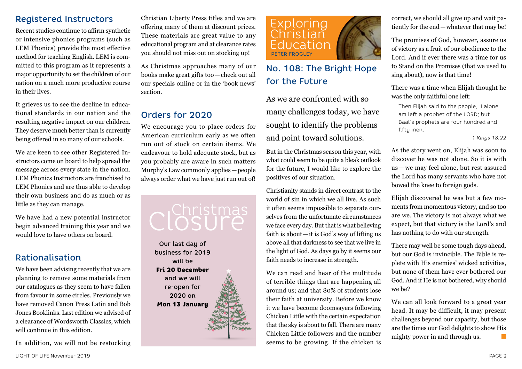## Registered Instructors

Recent studies continue to affirm synthetic or intensive phonics programs (such as LEM Phonics) provide the most effective method for teaching English. LEM is committed to this program as it represents a major opportunity to set the children of our nation on a much more productive course in their lives.

It grieves us to see the decline in educational standards in our nation and the resulting negative impact on our children. They deserve much better than is currently being offered in so many of our schools.

We are keen to see other Registered Instructors come on board to help spread the message across every state in the nation. LEM Phonics Instructors are franchised to LEM Phonics and are thus able to develop their own business and do as much or as little as they can manage.

We have had a new potential instructor begin advanced training this year and we would love to have others on board.

# Rationalisation

We have been advising recently that we are planning to remove some materials from our catalogues as they seem to have fallen from favour in some circles. Previously we have removed Canon Press Latin and Bob Jones Booklinks. Last edition we advised of a clearance of Wordsworth Classics, which will continue in this edition.

In addition, we will not be restocking

Christian Liberty Press titles and we are offering many of them at discount prices. These materials are great value to any educational program and at clearance rates you should not miss out on stocking up!

As Christmas approaches many of our books make great gifts too—check out all our specials online or in the 'book news' section.

# Orders for 2020

We encourage you to place orders for American curriculum early as we often run out of stock on certain items. We endeavour to hold adequate stock, but as you probably are aware in such matters Murphy's Law commonly applies—people always order what we have just run out of!

# cl<sup>Christmas</sup>

Our last day of business for 2019 will be Fri 20 December and we will re-open for 2020 on Mon 13 January



# No. 108: The Bright Hope for the Future

As we are confronted with so many challenges today, we have sought to identify the problems and point toward solutions.

But in the Christmas season this year, with what could seem to be quite a bleak outlook for the future, I would like to explore the positives of our situation.

Christianity stands in direct contrast to the world of sin in which we all live. As such it often seems impossible to separate ourselves from the unfortunate circumstances we face every day. But that is what believing faith is about—it is God's way of lifting us above all that darkness to see that we live in the light of God. As days go by it seems our faith needs to increase in strength.

We can read and hear of the multitude of terrible things that are happening all around us; and that 80% of students lose their faith at university. Before we know it we have become doomsayers following Chicken Little with the certain expectation that the sky is about to fall. There are many Chicken Little followers and the number seems to be growing. If the chicken is

correct, we should all give up and wait patiently for the end—whatever that may be!

The promises of God, however, assure us of victory as a fruit of our obedience to the Lord. And if ever there was a time for us to Stand on the Promises (that we used to sing about), now is that time!

There was a time when Elijah thought he was the only faithful one left:

Then Elijah said to the people, 'I alone am left a prophet of the LORD; but Baal's prophets are four hundred and fifty men.'

*1 Kings 18:22*

As the story went on, Elijah was soon to discover he was not alone. So it is with us — we may feel alone, but rest assured the Lord has many servants who have not bowed the knee to foreign gods.

Elijah discovered he was but a few moments from momentous victory, and so too are we. The victory is not always what we expect, but that victory is the Lord's and has nothing to do with our strength.

There may well be some tough days ahead, but our God is invincible. The Bible is replete with His enemies' wicked activities, but none of them have ever bothered our God. And if He is not bothered, why should we be?

We can all look forward to a great year head. It may be difficult, it may present challenges beyond our capacity, but those are the times our God delights to show His mighty power in and through us.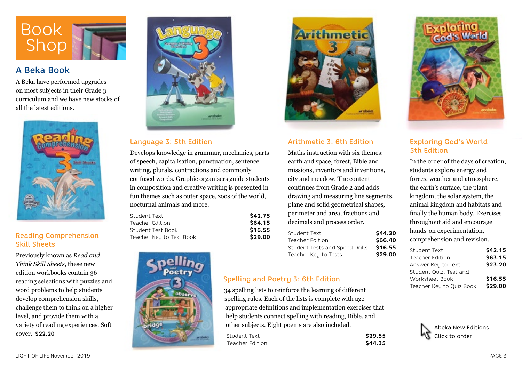

### A Beka Book

A Beka have performed upgrades on most subjects in their Grade 3 curriculum and we have new stocks of all the latest editions.



#### Reading Comprehension Skill Sheets

Previously known as *Read and Think Skill Sheets*, these new edition workbooks contain 36 reading selections with puzzles and word problems to help students develop comprehension skills, challenge them to think on a higher level, and provide them with a variety of reading experiences. Soft cover. **\$22.20**



#### Language 3: 5th Edition

Develops knowledge in grammar, mechanics, parts of speech, capitalisation, punctuation, sentence writing, plurals, contractions and commonly confused words. Graphic organisers guide students in composition and creative writing is presented in fun themes such as outer space, zoos of the world, nocturnal animals and more.

| Student Text             | \$42.75 |
|--------------------------|---------|
| Teacher Edition          | \$64.15 |
| Student Test Book        | \$16.55 |
| Teacher Key to Test Book | \$29.00 |





#### Arithmetic 3: 6th Edition

Maths instruction with six themes: earth and space, forest, Bible and missions, inventors and inventions, city and meadow. The content continues from Grade 2 and adds drawing and measuring line segments, plane and solid geometrical shapes, perimeter and area, fractions and decimals and process order.

| Student Text                   | \$44.20 |
|--------------------------------|---------|
| Teacher Edition                | \$66.40 |
| Student Tests and Speed Drills | \$16.55 |
| Teacher Key to Tests           | \$29.00 |

#### Spelling and Poetry 3: 6th Edition

34 spelling lists to reinforce the learning of different spelling rules. Each of the lists is complete with ageappropriate definitions and implementation exercises that help students connect spelling with reading, Bible, and other subjects. Eight poems are also included.

| Student Text    | \$29.55 |
|-----------------|---------|
| Teacher Edition | \$44.35 |



#### Exploring God's World 5th Edition

In the order of the days of creation, students explore energy and forces, weather and atmosphere, the earth's surface, the plant kingdom, the solar system, the animal kingdom and habitats and finally the human body. Exercises throughout aid and encourage hands-on experimentation, comprehension and revision.

| \$42.15 |
|---------|
| \$63.15 |
| \$23.20 |
|         |
| \$16.55 |
| \$29.00 |
|         |

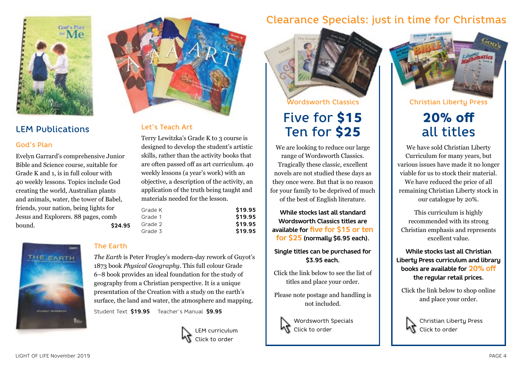

# LEM Publications

#### God's Plan

Evelyn Garrard's comprehensive Junior Bible and Science course, suitable for Grade K and 1, is in full colour with 40 weekly lessons. Topics include God creating the world, Australian plants and animals, water, the tower of Babel, friends, your nation, being lights for Jesus and Explorers. 88 pages, comb bound. **\$24.95**





#### Let's Teach Art

Terry Lewitzka's Grade K to 3 course is designed to develop the student's artistic skills, rather than the activity books that are often passed off as art curriculum. 40 weekly lessons (a year's work) with an objective, a description of the activity, an application of the truth being taught and materials needed for the lesson.

| Grade K | \$19.95 |
|---------|---------|
| Grade 1 | \$19.95 |
| Grade 2 | \$19.95 |
| Grade 3 | \$19.95 |
|         |         |

#### The Earth

*The Earth* is Peter Frogley's modern-day rework of Guyot's 1873 book *Physical Geography*. This full colour Grade 6–8 book provides an ideal foundation for the study of geography from a Christian perspective. It is a unique presentation of the Creation with a study on the earth's surface, the land and water, the atmosphere and mapping.

Student Text **\$19.95** Teacher's Manual **\$9.95**



# Clearance Specials: just in time for Christmas



# Five for \$15 Ten for \$25

We are looking to reduce our large range of Wordsworth Classics. Tragically these classic, excellent novels are not studied these days as they once were. But that is no reason for your family to be deprived of much of the best of English literature.

**While stocks last all standard Wordsworth Classics titles are available for five for \$15 or ten for \$25 (normally \$6.95 each).**

**Single titles can be purchased for \$3.95 each.**

Click the link below to see the list of titles and place your order.

Please note postage and handling is not included.



Wordsworth Specials  $\mathbf \Lambda$  Click to order



Christian Liberty Press

# 20% off all titles

We have sold Christian Liberty Curriculum for many years, but various issues have made it no longer viable for us to stock their material. We have reduced the price of all remaining Christian Liberty stock in our catalogue by 20%.

This curriculum is highly recommended with its strong Christian emphasis and represents excellent value.

**While stocks last all Christian Liberty Press curriculum and library books are available for 20% off the regular retail prices.**

Click the link below to shop online and place your order.



Christian Liberty Press